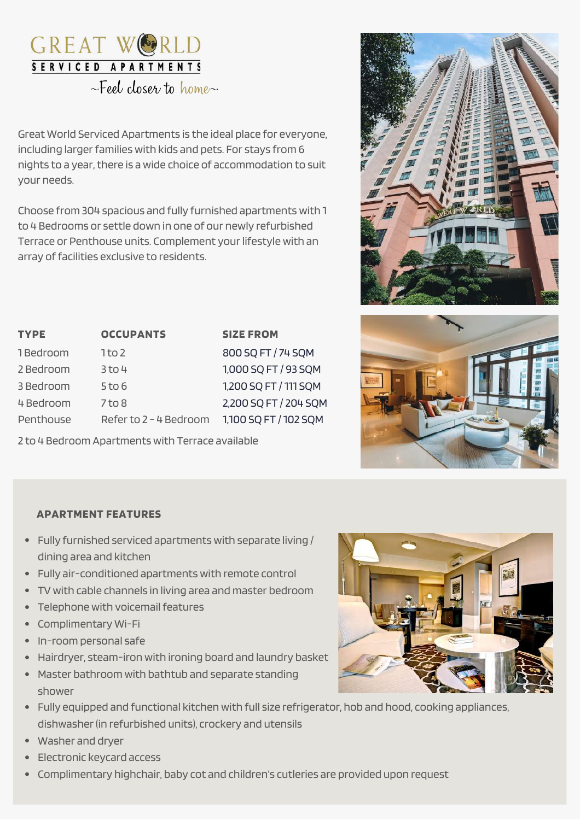# GREAT WOR SERVICED APARTMENTS

 $\sim$ Feel closer to home  $\sim$ 

Great World Serviced Apartments is the ideal place for everyone, including larger families with kids and pets. For stays from 6 nights to a year, there is a wide choice of accommodation to suit your needs.

Choose from 304 spacious and fully furnished apartments with 1 to 4 Bedrooms or settle down in one of our newly refurbished Terrace or Penthouse units. Complement your lifestyle with an array of facilities exclusive to residents.

| <b>TYPE</b> | <b>OCCUPANTS</b>       | <b>SIZE FROM</b>      |
|-------------|------------------------|-----------------------|
| 1Bedroom    | $1$ to 2               | 800 SQ FT / 74 SQM    |
| 2 Bedroom   | $3$ to 4               | 1,000 SQ FT / 93 SQM  |
| 3 Bedroom   | $5$ to $6$             | 1,200 SQ FT / 111 SQM |
| 4 Bedroom   | $7$ to $8$             | 2,200 SQ FT / 204 SQM |
| Penthouse   | Refer to 2 - 4 Bedroom | 1,100 SQ FT / 102 SQM |

2 to 4 Bedroom Apartments with Terrace available





# **APARTMENT FEATURES**

- Fully furnished serviced apartments with separate living / dining area and kitchen
- Fully air-conditioned apartments with remote control
- TV with cable channels in living area and master bedroom
- Telephone with voicemail features
- Complimentary Wi-Fi
- In-room personal safe
- Hairdryer, steam-iron with ironing board and laundry basket
- Master bathroom with bathtub and separate standing shower
- Fully equipped and functional kitchen with full size refrigerator, hob and hood, cooking appliances, dishwasher(in refurbished units), crockery and utensils
- Washer and dryer
- Electronic keycard access
- Complimentary highchair, baby cot and children's cutleries are provided upon request